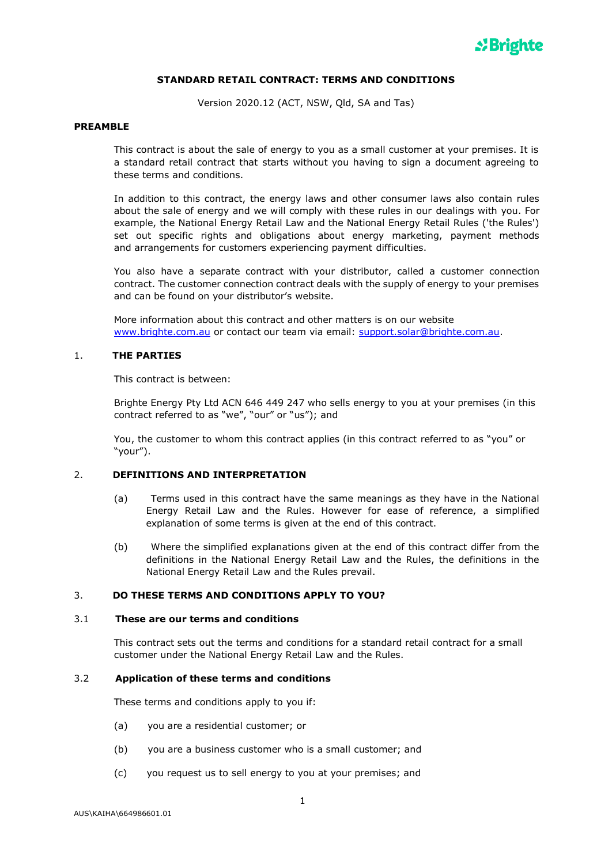

## **STANDARD RETAIL CONTRACT: TERMS AND CONDITIONS**

Version 2020.12 (ACT, NSW, Qld, SA and Tas)

### **PREAMBLE**

This contract is about the sale of energy to you as a small customer at your premises. It is a standard retail contract that starts without you having to sign a document agreeing to these terms and conditions.

In addition to this contract, the energy laws and other consumer laws also contain rules about the sale of energy and we will comply with these rules in our dealings with you. For example, the National Energy Retail Law and the National Energy Retail Rules ('the Rules') set out specific rights and obligations about energy marketing, payment methods and arrangements for customers experiencing payment difficulties.

You also have a separate contract with your distributor, called a customer connection contract. The customer connection contract deals with the supply of energy to your premises and can be found on your distributor's website.

More information about this contract and other matters is on our website [www.brighte.com.au](http://www.brighte.com.au/) or contact our team via email: [support.solar@brighte.com.au.](mailto:support.solar@brighte.com.au)

## 1. **THE PARTIES**

This contract is between:

Brighte Energy Pty Ltd ACN 646 449 247 who sells energy to you at your premises (in this contract referred to as "we", "our" or "us"); and

You, the customer to whom this contract applies (in this contract referred to as "you" or "your").

## 2. **DEFINITIONS AND INTERPRETATION**

- (a) Terms used in this contract have the same meanings as they have in the National Energy Retail Law and the Rules. However for ease of reference, a simplified explanation of some terms is given at the end of this contract.
- (b) Where the simplified explanations given at the end of this contract differ from the definitions in the National Energy Retail Law and the Rules, the definitions in the National Energy Retail Law and the Rules prevail.

## 3. **DO THESE TERMS AND CONDITIONS APPLY TO YOU?**

#### 3.1 **These are our terms and conditions**

This contract sets out the terms and conditions for a standard retail contract for a small customer under the National Energy Retail Law and the Rules.

#### 3.2 **Application of these terms and conditions**

These terms and conditions apply to you if:

- (a) you are a residential customer; or
- (b) you are a business customer who is a small customer; and
- (c) you request us to sell energy to you at your premises; and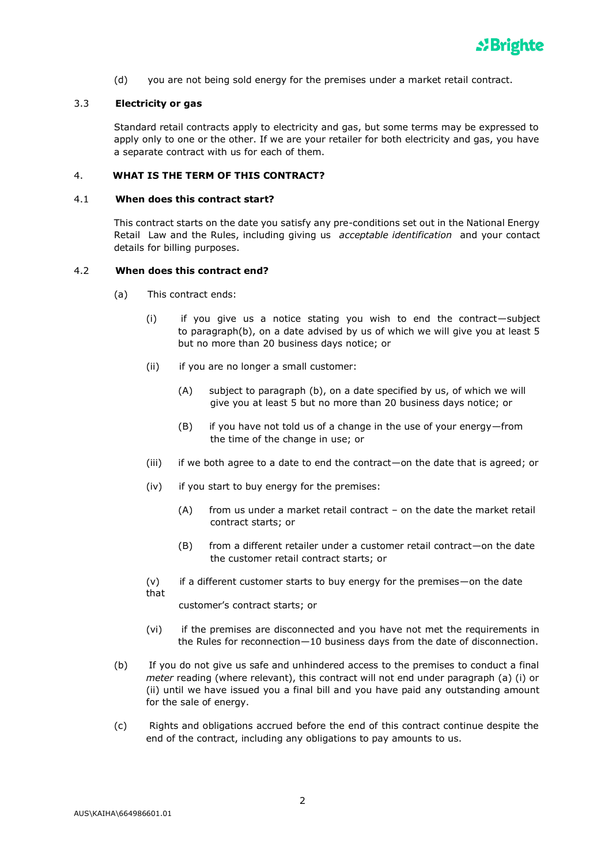

(d) you are not being sold energy for the premises under a market retail contract.

### 3.3 **Electricity or gas**

Standard retail contracts apply to electricity and gas, but some terms may be expressed to apply only to one or the other. If we are your retailer for both electricity and gas, you have a separate contract with us for each of them.

## 4. **WHAT IS THE TERM OF THIS CONTRACT?**

#### 4.1 **When does this contract start?**

This contract starts on the date you satisfy any pre-conditions set out in the National Energy Retail Law and the Rules, including giving us *acceptable identification* and your contact details for billing purposes.

### 4.2 **When does this contract end?**

- (a) This contract ends:
	- (i) if you give us a notice stating you wish to end the contract—subject to paragraph(b), on a date advised by us of which we will give you at least 5 but no more than 20 business days notice; or
	- (ii) if you are no longer a small customer:
		- (A) subject to paragraph (b), on a date specified by us, of which we will give you at least 5 but no more than 20 business days notice; or
		- (B) if you have not told us of a change in the use of your energy—from the time of the change in use; or
	- (iii) if we both agree to a date to end the contract—on the date that is agreed; or
	- (iv) if you start to buy energy for the premises:
		- (A) from us under a market retail contract on the date the market retail contract starts; or
		- (B) from a different retailer under a customer retail contract—on the date the customer retail contract starts; or
	- (v) if a different customer starts to buy energy for the premises—on the date that

customer's contract starts; or

- (vi) if the premises are disconnected and you have not met the requirements in the Rules for reconnection—10 business days from the date of disconnection.
- (b) If you do not give us safe and unhindered access to the premises to conduct a final *meter* reading (where relevant), this contract will not end under paragraph (a) (i) or (ii) until we have issued you a final bill and you have paid any outstanding amount for the sale of energy.
- (c) Rights and obligations accrued before the end of this contract continue despite the end of the contract, including any obligations to pay amounts to us.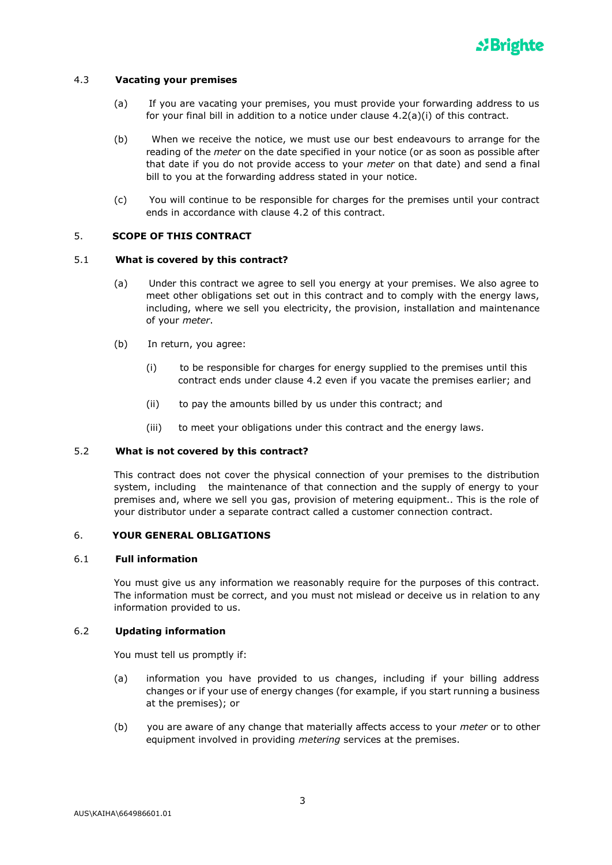

### 4.3 **Vacating your premises**

- (a) If you are vacating your premises, you must provide your forwarding address to us for your final bill in addition to a notice under clause 4.2(a)(i) of this contract.
- (b) When we receive the notice, we must use our best endeavours to arrange for the reading of the *meter* on the date specified in your notice (or as soon as possible after that date if you do not provide access to your *meter* on that date) and send a final bill to you at the forwarding address stated in your notice.
- (c) You will continue to be responsible for charges for the premises until your contract ends in accordance with clause 4.2 of this contract.

### 5. **SCOPE OF THIS CONTRACT**

### 5.1 **What is covered by this contract?**

- (a) Under this contract we agree to sell you energy at your premises. We also agree to meet other obligations set out in this contract and to comply with the energy laws, including, where we sell you electricity, the provision, installation and maintenance of your *meter*.
- (b) In return, you agree:
	- (i) to be responsible for charges for energy supplied to the premises until this contract ends under clause 4.2 even if you vacate the premises earlier; and
	- (ii) to pay the amounts billed by us under this contract; and
	- (iii) to meet your obligations under this contract and the energy laws.

# 5.2 **What is not covered by this contract?**

This contract does not cover the physical connection of your premises to the distribution system, including the maintenance of that connection and the supply of energy to your premises and, where we sell you gas, provision of metering equipment.. This is the role of your distributor under a separate contract called a customer connection contract.

## 6. **YOUR GENERAL OBLIGATIONS**

### 6.1 **Full information**

You must give us any information we reasonably require for the purposes of this contract. The information must be correct, and you must not mislead or deceive us in relation to any information provided to us.

### 6.2 **Updating information**

You must tell us promptly if:

- (a) information you have provided to us changes, including if your billing address changes or if your use of energy changes (for example, if you start running a business at the premises); or
- (b) you are aware of any change that materially affects access to your *meter* or to other equipment involved in providing *metering* services at the premises.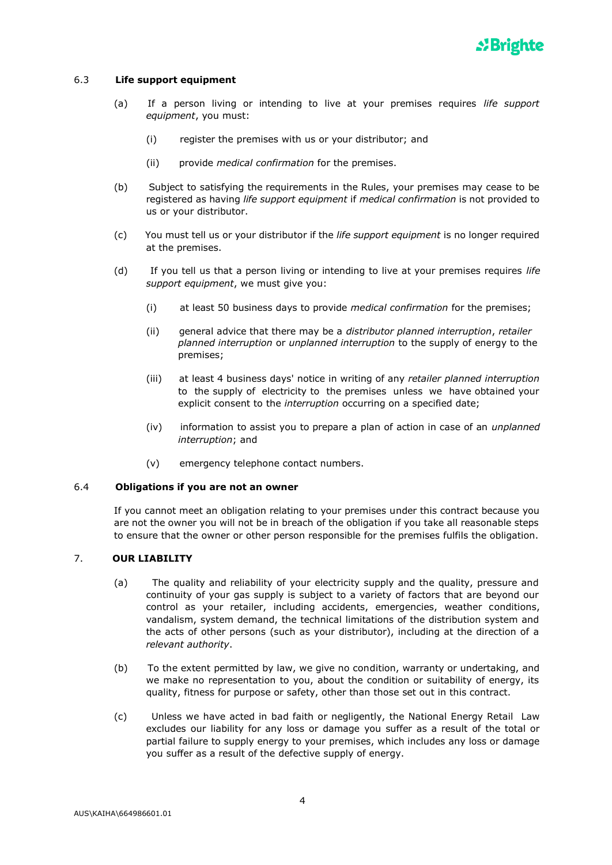

## 6.3 **Life support equipment**

- (a) If a person living or intending to live at your premises requires *life support equipment*, you must:
	- (i) register the premises with us or your distributor; and
	- (ii) provide *medical confirmation* for the premises.
- (b) Subject to satisfying the requirements in the Rules, your premises may cease to be registered as having *life support equipment* if *medical confirmation* is not provided to us or your distributor.
- (c) You must tell us or your distributor if the *life support equipment* is no longer required at the premises.
- (d) If you tell us that a person living or intending to live at your premises requires *life support equipment*, we must give you:
	- (i) at least 50 business days to provide *medical confirmation* for the premises;
	- (ii) general advice that there may be a *distributor planned interruption*, *retailer planned interruption* or *unplanned interruption* to the supply of energy to the premises;
	- (iii) at least 4 business days' notice in writing of any *retailer planned interruption*  to the supply of electricity to the premises unless we have obtained your explicit consent to the *interruption* occurring on a specified date;
	- (iv) information to assist you to prepare a plan of action in case of an *unplanned interruption*; and
	- (v) emergency telephone contact numbers.

### 6.4 **Obligations if you are not an owner**

If you cannot meet an obligation relating to your premises under this contract because you are not the owner you will not be in breach of the obligation if you take all reasonable steps to ensure that the owner or other person responsible for the premises fulfils the obligation.

# 7. **OUR LIABILITY**

- (a) The quality and reliability of your electricity supply and the quality, pressure and continuity of your gas supply is subject to a variety of factors that are beyond our control as your retailer, including accidents, emergencies, weather conditions, vandalism, system demand, the technical limitations of the distribution system and the acts of other persons (such as your distributor), including at the direction of a *relevant authority*.
- (b) To the extent permitted by law, we give no condition, warranty or undertaking, and we make no representation to you, about the condition or suitability of energy, its quality, fitness for purpose or safety, other than those set out in this contract.
- (c) Unless we have acted in bad faith or negligently, the National Energy Retail Law excludes our liability for any loss or damage you suffer as a result of the total or partial failure to supply energy to your premises, which includes any loss or damage you suffer as a result of the defective supply of energy.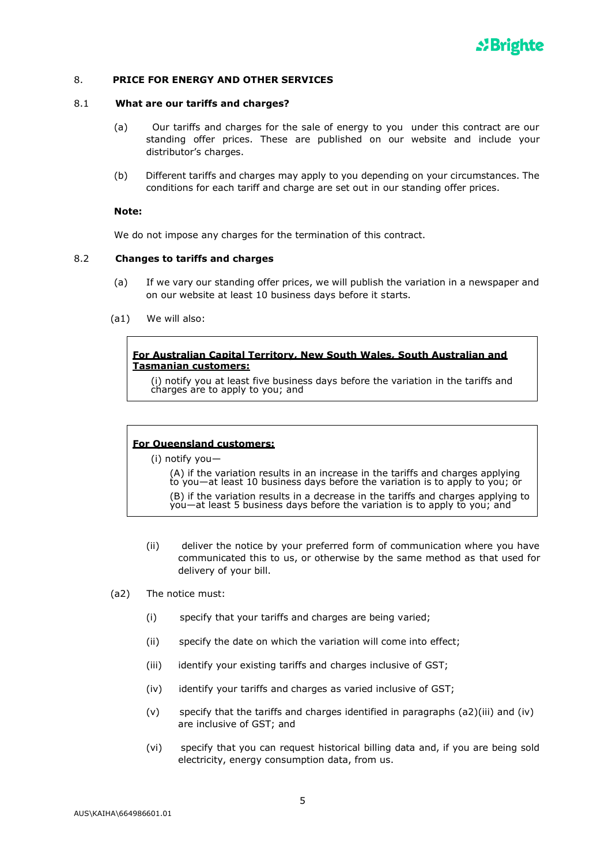

### 8. **PRICE FOR ENERGY AND OTHER SERVICES**

#### 8.1 **What are our tariffs and charges?**

- (a) Our tariffs and charges for the sale of energy to you under this contract are our standing offer prices. These are published on our website and include your distributor's charges.
- (b) Different tariffs and charges may apply to you depending on your circumstances. The conditions for each tariff and charge are set out in our standing offer prices.

### **Note:**

We do not impose any charges for the termination of this contract.

#### 8.2 **Changes to tariffs and charges**

- (a) If we vary our standing offer prices, we will publish the variation in a newspaper and on our website at least 10 business days before it starts.
- (a1) We will also:

## **For Australian Capital Territory, New South Wales, South Australian and Tasmanian customers:**

(i) notify you at least five business days before the variation in the tariffs and charges are to apply to you; and

### **For Queensland customers:**

(i) notify you—

(A) if the variation results in an increase in the tariffs and charges applying to you—at least 10 business days before the variation is to apply to you; or

(B) if the variation results in a decrease in the tariffs and charges applying to  $\gamma$ ou—at least 5 business days before the variation is to apply to you; and

- (ii) deliver the notice by your preferred form of communication where you have communicated this to us, or otherwise by the same method as that used for delivery of your bill.
- (a2) The notice must:
	- (i) specify that your tariffs and charges are being varied;
	- (ii) specify the date on which the variation will come into effect;
	- (iii) identify your existing tariffs and charges inclusive of GST;
	- (iv) identify your tariffs and charges as varied inclusive of GST;
	- (v) specify that the tariffs and charges identified in paragraphs (a2)(iii) and (iv) are inclusive of GST; and
	- (vi) specify that you can request historical billing data and, if you are being sold electricity, energy consumption data, from us.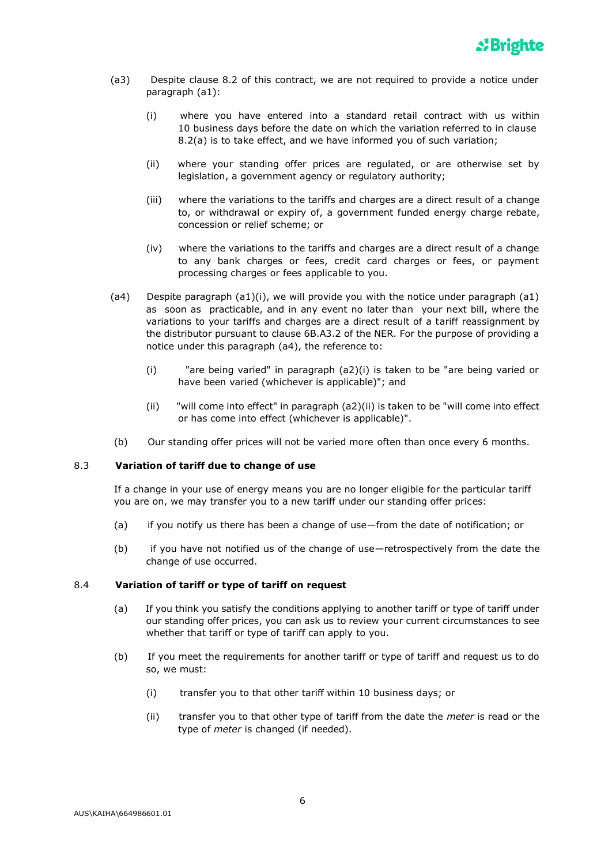- (a3) Despite clause 8.2 of this contract, we are not required to provide a notice under paragraph (a1):
	- (i) where you have entered into a standard retail contract with us within 10 business days before the date on which the variation referred to in clause 8.2(a) is to take effect, and we have informed you of such variation;
	- (ii) where your standing offer prices are regulated, or are otherwise set by legislation, a government agency or regulatory authority;
	- (iii) where the variations to the tariffs and charges are a direct result of a change to, or withdrawal or expiry of, a government funded energy charge rebate, concession or relief scheme; or
	- (iv) where the variations to the tariffs and charges are a direct result of a change to any bank charges or fees, credit card charges or fees, or payment processing charges or fees applicable to you.
- (a4) Despite paragraph  $(a1)(i)$ , we will provide you with the notice under paragraph  $(a1)$ as soon as practicable, and in any event no later than your next bill, where the variations to your tariffs and charges are a direct result of a tariff reassignment by the distributor pursuant to clause 6B.A3.2 of the NER. For the purpose of providing a notice under this paragraph (a4), the reference to:
	- (i) "are being varied" in paragraph (a2)(i) is taken to be "are being varied or have been varied (whichever is applicable)"; and
	- (ii) "will come into effect" in paragraph (a2)(ii) is taken to be "will come into effect or has come into effect (whichever is applicable)".
- (b) Our standing offer prices will not be varied more often than once every 6 months.

# 8.3 **Variation of tariff due to change of use**

If a change in your use of energy means you are no longer eligible for the particular tariff you are on, we may transfer you to a new tariff under our standing offer prices:

- (a) if you notify us there has been a change of use—from the date of notification; or
- (b) if you have not notified us of the change of use—retrospectively from the date the change of use occurred.

### 8.4 **Variation of tariff or type of tariff on request**

- (a) If you think you satisfy the conditions applying to another tariff or type of tariff under our standing offer prices, you can ask us to review your current circumstances to see whether that tariff or type of tariff can apply to you.
- (b) If you meet the requirements for another tariff or type of tariff and request us to do so, we must:
	- (i) transfer you to that other tariff within 10 business days; or
	- (ii) transfer you to that other type of tariff from the date the *meter* is read or the type of *meter* is changed (if needed).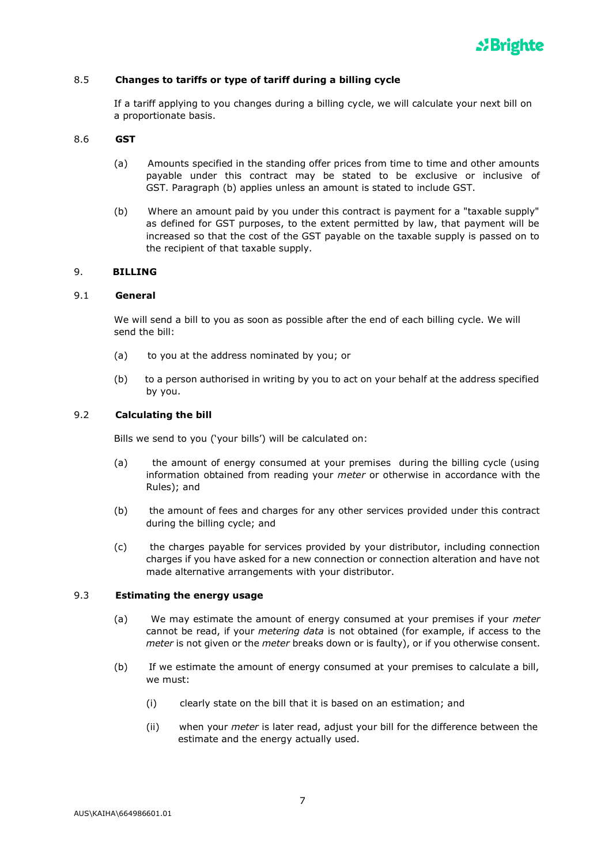

### 8.5 **Changes to tariffs or type of tariff during a billing cycle**

If a tariff applying to you changes during a billing cycle, we will calculate your next bill on a proportionate basis.

### 8.6 **GST**

- (a) Amounts specified in the standing offer prices from time to time and other amounts payable under this contract may be stated to be exclusive or inclusive of GST. Paragraph (b) applies unless an amount is stated to include GST.
- (b) Where an amount paid by you under this contract is payment for a "taxable supply" as defined for GST purposes, to the extent permitted by law, that payment will be increased so that the cost of the GST payable on the taxable supply is passed on to the recipient of that taxable supply.

### 9. **BILLING**

#### 9.1 **General**

We will send a bill to you as soon as possible after the end of each billing cycle. We will send the bill:

- (a) to you at the address nominated by you; or
- (b) to a person authorised in writing by you to act on your behalf at the address specified by you.

### 9.2 **Calculating the bill**

Bills we send to you ('your bills') will be calculated on:

- (a) the amount of energy consumed at your premises during the billing cycle (using information obtained from reading your *meter* or otherwise in accordance with the Rules); and
- (b) the amount of fees and charges for any other services provided under this contract during the billing cycle; and
- (c) the charges payable for services provided by your distributor, including connection charges if you have asked for a new connection or connection alteration and have not made alternative arrangements with your distributor.

### 9.3 **Estimating the energy usage**

- (a) We may estimate the amount of energy consumed at your premises if your *meter*  cannot be read, if your *metering data* is not obtained (for example, if access to the *meter* is not given or the *meter* breaks down or is faulty), or if you otherwise consent.
- (b) If we estimate the amount of energy consumed at your premises to calculate a bill, we must:
	- (i) clearly state on the bill that it is based on an estimation; and
	- (ii) when your *meter* is later read, adjust your bill for the difference between the estimate and the energy actually used.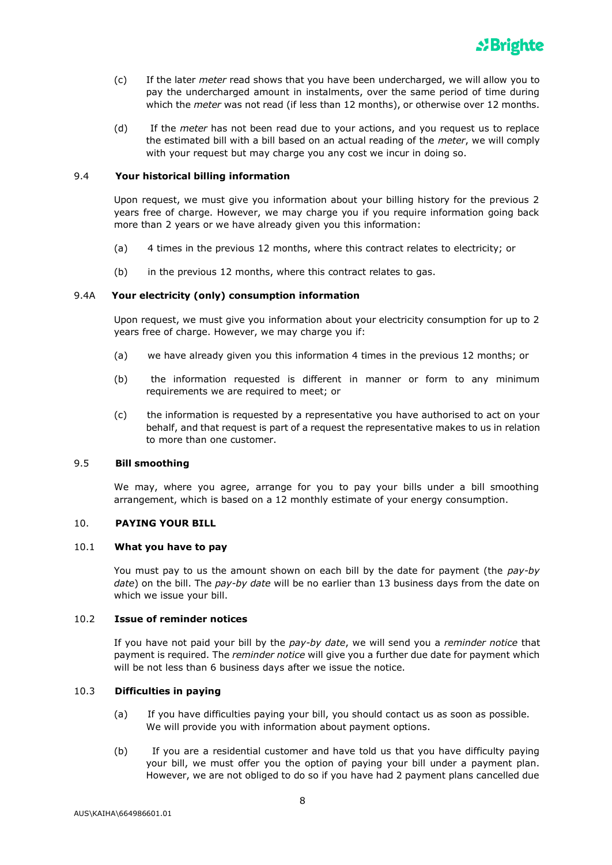

- (c) If the later *meter* read shows that you have been undercharged, we will allow you to pay the undercharged amount in instalments, over the same period of time during which the *meter* was not read (if less than 12 months), or otherwise over 12 months.
- (d) If the *meter* has not been read due to your actions, and you request us to replace the estimated bill with a bill based on an actual reading of the *meter*, we will comply with your request but may charge you any cost we incur in doing so.

### 9.4 **Your historical billing information**

Upon request, we must give you information about your billing history for the previous 2 years free of charge. However, we may charge you if you require information going back more than 2 years or we have already given you this information:

- (a) 4 times in the previous 12 months, where this contract relates to electricity; or
- (b) in the previous 12 months, where this contract relates to gas.

### 9.4A **Your electricity (only) consumption information**

Upon request, we must give you information about your electricity consumption for up to 2 years free of charge. However, we may charge you if:

- (a) we have already given you this information 4 times in the previous 12 months; or
- (b) the information requested is different in manner or form to any minimum requirements we are required to meet; or
- (c) the information is requested by a representative you have authorised to act on your behalf, and that request is part of a request the representative makes to us in relation to more than one customer.

### 9.5 **Bill smoothing**

We may, where you agree, arrange for you to pay your bills under a bill smoothing arrangement, which is based on a 12 monthly estimate of your energy consumption.

## 10. **PAYING YOUR BILL**

## 10.1 **What you have to pay**

You must pay to us the amount shown on each bill by the date for payment (the *pay-by date*) on the bill. The *pay-by date* will be no earlier than 13 business days from the date on which we issue your bill.

## 10.2 **Issue of reminder notices**

If you have not paid your bill by the *pay-by date*, we will send you a *reminder notice* that payment is required. The *reminder notice* will give you a further due date for payment which will be not less than 6 business days after we issue the notice.

### 10.3 **Difficulties in paying**

- (a) If you have difficulties paying your bill, you should contact us as soon as possible. We will provide you with information about payment options.
- (b) If you are a residential customer and have told us that you have difficulty paying your bill, we must offer you the option of paying your bill under a payment plan. However, we are not obliged to do so if you have had 2 payment plans cancelled due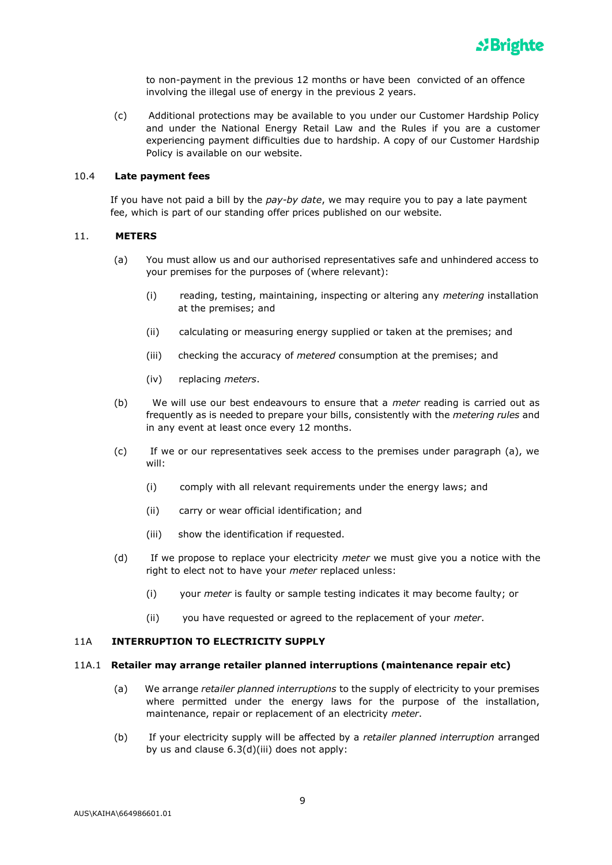

to non-payment in the previous 12 months or have been convicted of an offence involving the illegal use of energy in the previous 2 years.

(c) Additional protections may be available to you under our Customer Hardship Policy and under the National Energy Retail Law and the Rules if you are a customer experiencing payment difficulties due to hardship. A copy of our Customer Hardship Policy is available on our website.

### 10.4 **Late payment fees**

If you have not paid a bill by the *pay-by date*, we may require you to pay a late payment fee, which is part of our standing offer prices published on our website.

### 11. **METERS**

- (a) You must allow us and our authorised representatives safe and unhindered access to your premises for the purposes of (where relevant):
	- (i) reading, testing, maintaining, inspecting or altering any *metering* installation at the premises; and
	- (ii) calculating or measuring energy supplied or taken at the premises; and
	- (iii) checking the accuracy of *metered* consumption at the premises; and
	- (iv) replacing *meters*.
- (b) We will use our best endeavours to ensure that a *meter* reading is carried out as frequently as is needed to prepare your bills, consistently with the *metering rules* and in any event at least once every 12 months.
- (c) If we or our representatives seek access to the premises under paragraph (a), we will:
	- (i) comply with all relevant requirements under the energy laws; and
	- (ii) carry or wear official identification; and
	- (iii) show the identification if requested.
- (d) If we propose to replace your electricity *meter* we must give you a notice with the right to elect not to have your *meter* replaced unless:
	- (i) your *meter* is faulty or sample testing indicates it may become faulty; or
	- (ii) you have requested or agreed to the replacement of your *meter*.

### 11A **INTERRUPTION TO ELECTRICITY SUPPLY**

#### 11A.1 **Retailer may arrange retailer planned interruptions (maintenance repair etc)**

- (a) We arrange *retailer planned interruptions* to the supply of electricity to your premises where permitted under the energy laws for the purpose of the installation, maintenance, repair or replacement of an electricity *meter*.
- (b) If your electricity supply will be affected by a *retailer planned interruption* arranged by us and clause 6.3(d)(iii) does not apply: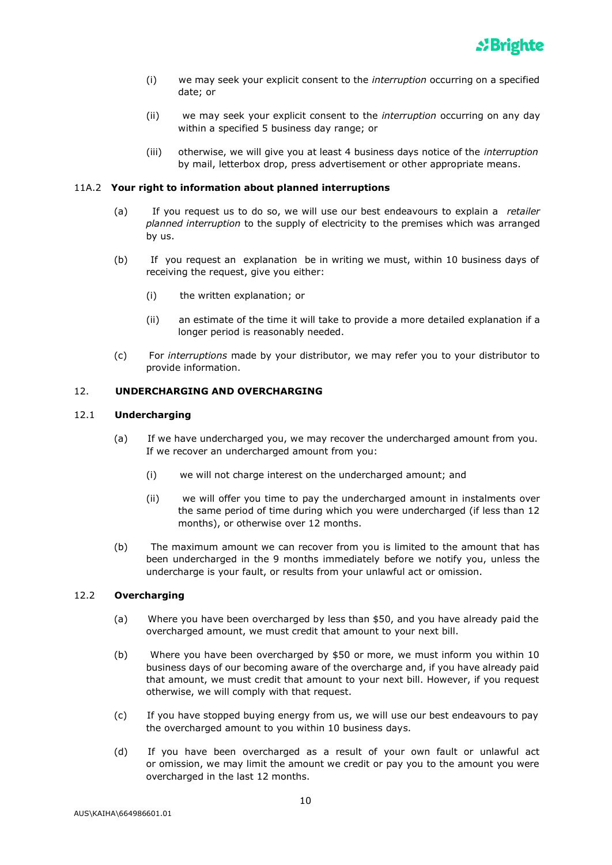- (i) we may seek your explicit consent to the *interruption* occurring on a specified date; or
- (ii) we may seek your explicit consent to the *interruption* occurring on any day within a specified 5 business day range; or
- (iii) otherwise, we will give you at least 4 business days notice of the *interruption* by mail, letterbox drop, press advertisement or other appropriate means.

### 11A.2 **Your right to information about planned interruptions**

- (a) If you request us to do so, we will use our best endeavours to explain a *retailer planned interruption* to the supply of electricity to the premises which was arranged by us.
- (b) If you request an explanation be in writing we must, within 10 business days of receiving the request, give you either:
	- (i) the written explanation; or
	- (ii) an estimate of the time it will take to provide a more detailed explanation if a longer period is reasonably needed.
- (c) For *interruptions* made by your distributor, we may refer you to your distributor to provide information.

## 12. **UNDERCHARGING AND OVERCHARGING**

### 12.1 **Undercharging**

- (a) If we have undercharged you, we may recover the undercharged amount from you. If we recover an undercharged amount from you:
	- (i) we will not charge interest on the undercharged amount; and
	- (ii) we will offer you time to pay the undercharged amount in instalments over the same period of time during which you were undercharged (if less than 12 months), or otherwise over 12 months.
- (b) The maximum amount we can recover from you is limited to the amount that has been undercharged in the 9 months immediately before we notify you, unless the undercharge is your fault, or results from your unlawful act or omission.

## 12.2 **Overcharging**

- (a) Where you have been overcharged by less than \$50, and you have already paid the overcharged amount, we must credit that amount to your next bill.
- (b) Where you have been overcharged by \$50 or more, we must inform you within 10 business days of our becoming aware of the overcharge and, if you have already paid that amount, we must credit that amount to your next bill. However, if you request otherwise, we will comply with that request.
- (c) If you have stopped buying energy from us, we will use our best endeavours to pay the overcharged amount to you within 10 business days.
- (d) If you have been overcharged as a result of your own fault or unlawful act or omission, we may limit the amount we credit or pay you to the amount you were overcharged in the last 12 months.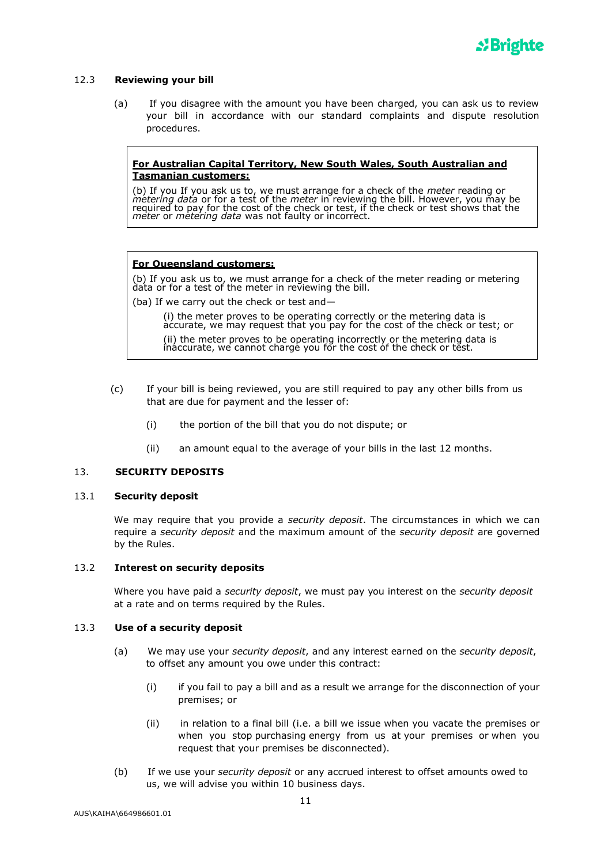

### 12.3 **Reviewing your bill**

(a) If you disagree with the amount you have been charged, you can ask us to review your bill in accordance with our standard complaints and dispute resolution procedures.

### **For Australian Capital Territory, New South Wales, South Australian and Tasmanian customers:**

(b) If you If you ask us to, we must arrange for a check of the *meter* reading or *metering data* or for a test of the *meter* in reviewing the bill. However, you may be required to pay for the cost of the check or test, if the check or test shows that the *meter* or *metering data* was not faulty or incorrect.

### **For Queensland customers:**

(b) If you ask us to, we must arrange for a check of the meter reading or metering data or for a test of the meter in reviewing the bill.

(ba) If we carry out the check or test and—

(i) the meter proves to be operating correctly or the metering data is accurate, we may request that you pay for the cost of the check or test; or (ii) the meter proves to be operating incorrectly or the metering data is inaccurate, we cannot charge you for the cost of the check or test.

- (c) If your bill is being reviewed, you are still required to pay any other bills from us that are due for payment and the lesser of:
	- (i) the portion of the bill that you do not dispute; or
	- (ii) an amount equal to the average of your bills in the last 12 months.

## 13. **SECURITY DEPOSITS**

### 13.1 **Security deposit**

We may require that you provide a *security deposit*. The circumstances in which we can require a *security deposit* and the maximum amount of the *security deposit* are governed by the Rules.

### 13.2 **Interest on security deposits**

Where you have paid a *security deposit*, we must pay you interest on the *security deposit* at a rate and on terms required by the Rules.

### 13.3 **Use of a security deposit**

- (a) We may use your *security deposit*, and any interest earned on the *security deposit*, to offset any amount you owe under this contract:
	- (i) if you fail to pay a bill and as a result we arrange for the disconnection of your premises; or
	- (ii) in relation to a final bill (i.e. a bill we issue when you vacate the premises or when you stop purchasing energy from us at your premises or when you request that your premises be disconnected).
- (b) If we use your *security deposit* or any accrued interest to offset amounts owed to us, we will advise you within 10 business days.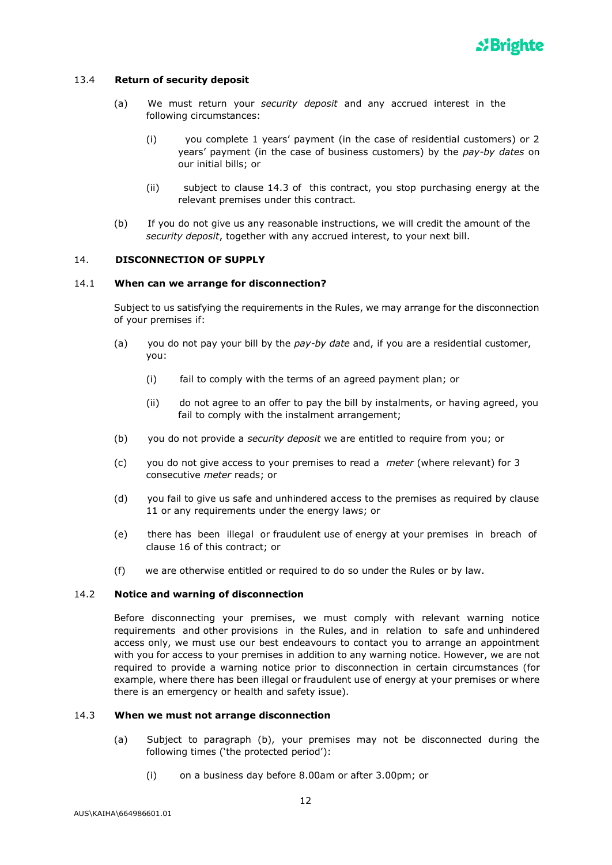

## 13.4 **Return of security deposit**

- (a) We must return your *security deposit* and any accrued interest in the following circumstances:
	- (i) you complete 1 years' payment (in the case of residential customers) or 2 years' payment (in the case of business customers) by the *pay-by dates* on our initial bills; or
	- (ii) subject to clause 14.3 of this contract, you stop purchasing energy at the relevant premises under this contract.
- (b) If you do not give us any reasonable instructions, we will credit the amount of the *security deposit*, together with any accrued interest, to your next bill.

### 14. **DISCONNECTION OF SUPPLY**

### 14.1 **When can we arrange for disconnection?**

Subject to us satisfying the requirements in the Rules, we may arrange for the disconnection of your premises if:

- (a) you do not pay your bill by the *pay-by date* and, if you are a residential customer, you:
	- (i) fail to comply with the terms of an agreed payment plan; or
	- (ii) do not agree to an offer to pay the bill by instalments, or having agreed, you fail to comply with the instalment arrangement;
- (b) you do not provide a *security deposit* we are entitled to require from you; or
- (c) you do not give access to your premises to read a *meter* (where relevant) for 3 consecutive *meter* reads; or
- (d) you fail to give us safe and unhindered access to the premises as required by clause 11 or any requirements under the energy laws; or
- (e) there has been illegal or fraudulent use of energy at your premises in breach of clause 16 of this contract; or
- (f) we are otherwise entitled or required to do so under the Rules or by law.

### 14.2 **Notice and warning of disconnection**

Before disconnecting your premises, we must comply with relevant warning notice requirements and other provisions in the Rules, and in relation to safe and unhindered access only, we must use our best endeavours to contact you to arrange an appointment with you for access to your premises in addition to any warning notice. However, we are not required to provide a warning notice prior to disconnection in certain circumstances (for example, where there has been illegal or fraudulent use of energy at your premises or where there is an emergency or health and safety issue).

### 14.3 **When we must not arrange disconnection**

- (a) Subject to paragraph (b), your premises may not be disconnected during the following times ('the protected period'):
	- (i) on a business day before 8.00am or after 3.00pm; or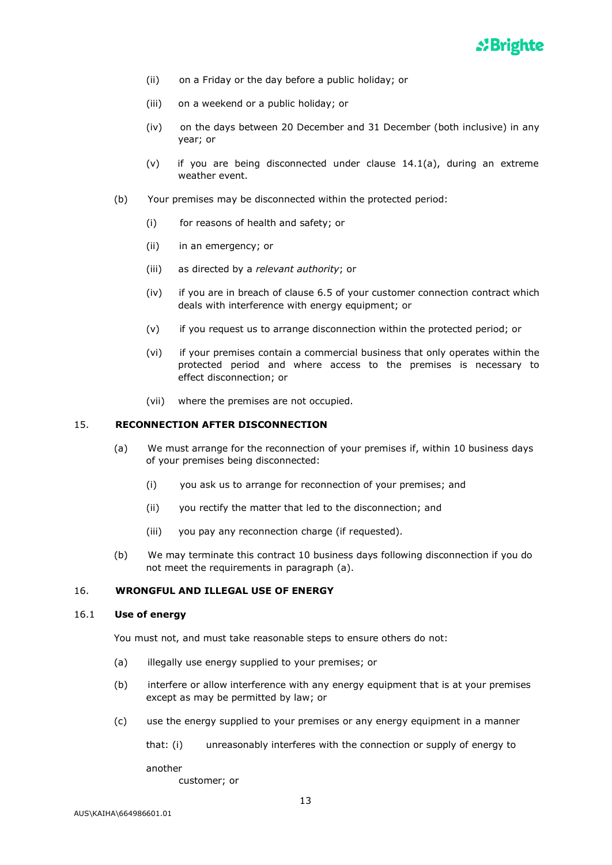

- (ii) on a Friday or the day before a public holiday; or
- (iii) on a weekend or a public holiday; or
- (iv) on the days between 20 December and 31 December (both inclusive) in any year; or
- (v) if you are being disconnected under clause 14.1(a), during an extreme weather event.
- (b) Your premises may be disconnected within the protected period:
	- (i) for reasons of health and safety; or
	- (ii) in an emergency; or
	- (iii) as directed by a *relevant authority*; or
	- (iv) if you are in breach of clause 6.5 of your customer connection contract which deals with interference with energy equipment; or
	- (v) if you request us to arrange disconnection within the protected period; or
	- (vi) if your premises contain a commercial business that only operates within the protected period and where access to the premises is necessary to effect disconnection; or
	- (vii) where the premises are not occupied.

## 15. **RECONNECTION AFTER DISCONNECTION**

- (a) We must arrange for the reconnection of your premises if, within 10 business days of your premises being disconnected:
	- (i) you ask us to arrange for reconnection of your premises; and
	- (ii) you rectify the matter that led to the disconnection; and
	- (iii) you pay any reconnection charge (if requested).
- (b) We may terminate this contract 10 business days following disconnection if you do not meet the requirements in paragraph (a).

### 16. **WRONGFUL AND ILLEGAL USE OF ENERGY**

### 16.1 **Use of energy**

You must not, and must take reasonable steps to ensure others do not:

- (a) illegally use energy supplied to your premises; or
- (b) interfere or allow interference with any energy equipment that is at your premises except as may be permitted by law; or
- (c) use the energy supplied to your premises or any energy equipment in a manner

```
that: (i) unreasonably interferes with the connection or supply of energy to
```
another

customer; or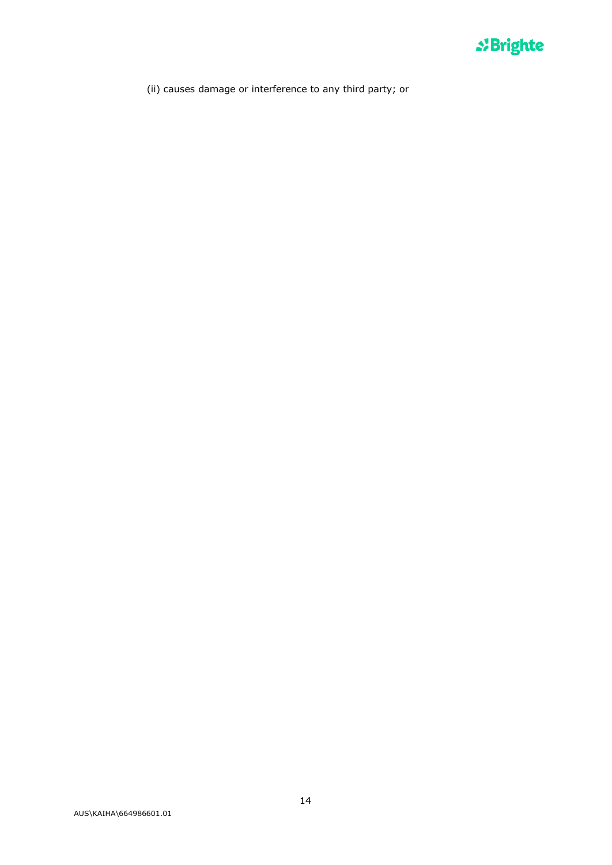

(ii) causes damage or interference to any third party; or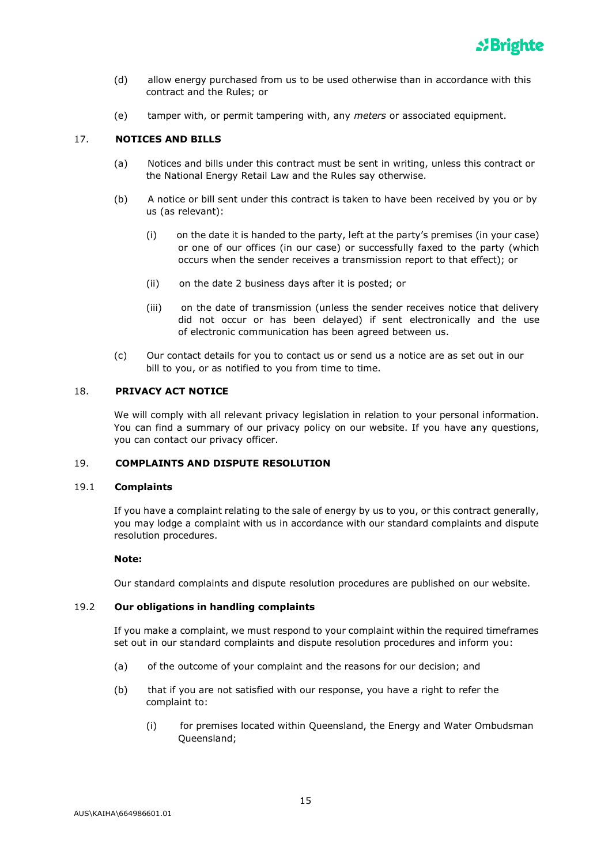

- (d) allow energy purchased from us to be used otherwise than in accordance with this contract and the Rules; or
- (e) tamper with, or permit tampering with, any *meters* or associated equipment.

## 17. **NOTICES AND BILLS**

- (a) Notices and bills under this contract must be sent in writing, unless this contract or the National Energy Retail Law and the Rules say otherwise.
- (b) A notice or bill sent under this contract is taken to have been received by you or by us (as relevant):
	- (i) on the date it is handed to the party, left at the party's premises (in your case) or one of our offices (in our case) or successfully faxed to the party (which occurs when the sender receives a transmission report to that effect); or
	- (ii) on the date 2 business days after it is posted; or
	- (iii) on the date of transmission (unless the sender receives notice that delivery did not occur or has been delayed) if sent electronically and the use of electronic communication has been agreed between us.
- (c) Our contact details for you to contact us or send us a notice are as set out in our bill to you, or as notified to you from time to time.

### 18. **PRIVACY ACT NOTICE**

We will comply with all relevant privacy legislation in relation to your personal information. You can find a summary of our privacy policy on our website. If you have any questions, you can contact our privacy officer.

### 19. **COMPLAINTS AND DISPUTE RESOLUTION**

### 19.1 **Complaints**

If you have a complaint relating to the sale of energy by us to you, or this contract generally, you may lodge a complaint with us in accordance with our standard complaints and dispute resolution procedures.

### **Note:**

Our standard complaints and dispute resolution procedures are published on our website.

## 19.2 **Our obligations in handling complaints**

If you make a complaint, we must respond to your complaint within the required timeframes set out in our standard complaints and dispute resolution procedures and inform you:

- (a) of the outcome of your complaint and the reasons for our decision; and
- (b) that if you are not satisfied with our response, you have a right to refer the complaint to:
	- (i) for premises located within Queensland, the Energy and Water Ombudsman Queensland;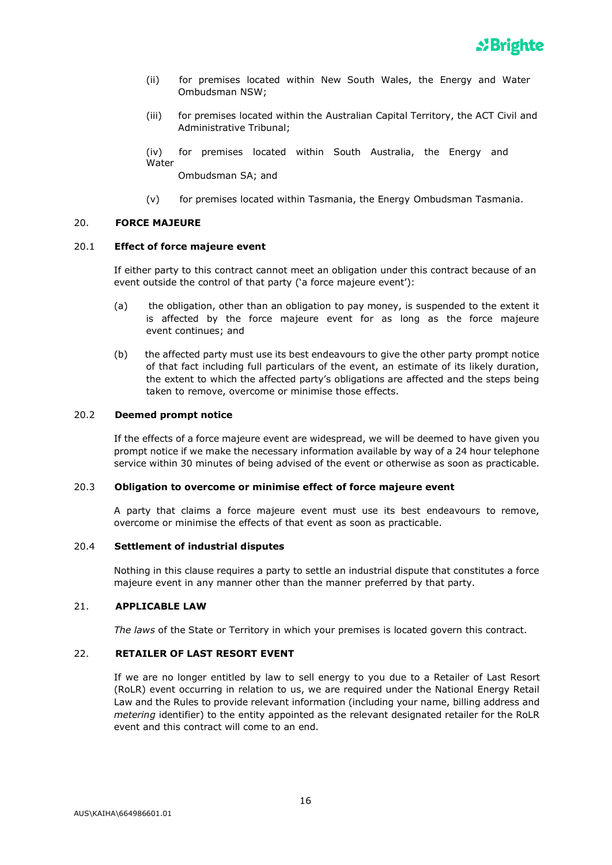- (ii) for premises located within New South Wales, the Energy and Water Ombudsman NSW;
- (iii) for premises located within the Australian Capital Territory, the ACT Civil and Administrative Tribunal;

(iv) for premises located within South Australia, the Energy and **Water** 

Ombudsman SA; and

(v) for premises located within Tasmania, the Energy Ombudsman Tasmania.

## 20. **FORCE MAJEURE**

## 20.1 **Effect of force majeure event**

If either party to this contract cannot meet an obligation under this contract because of an event outside the control of that party ('a force majeure event'):

- (a) the obligation, other than an obligation to pay money, is suspended to the extent it is affected by the force majeure event for as long as the force majeure event continues; and
- (b) the affected party must use its best endeavours to give the other party prompt notice of that fact including full particulars of the event, an estimate of its likely duration, the extent to which the affected party's obligations are affected and the steps being taken to remove, overcome or minimise those effects.

### 20.2 **Deemed prompt notice**

If the effects of a force majeure event are widespread, we will be deemed to have given you prompt notice if we make the necessary information available by way of a 24 hour telephone service within 30 minutes of being advised of the event or otherwise as soon as practicable.

### 20.3 **Obligation to overcome or minimise effect of force majeure event**

A party that claims a force majeure event must use its best endeavours to remove, overcome or minimise the effects of that event as soon as practicable.

# 20.4 **Settlement of industrial disputes**

Nothing in this clause requires a party to settle an industrial dispute that constitutes a force majeure event in any manner other than the manner preferred by that party.

# 21. **APPLICABLE LAW**

*The laws* of the State or Territory in which your premises is located govern this contract.

## 22. **RETAILER OF LAST RESORT EVENT**

If we are no longer entitled by law to sell energy to you due to a Retailer of Last Resort (RoLR) event occurring in relation to us, we are required under the National Energy Retail Law and the Rules to provide relevant information (including your name, billing address and *metering* identifier) to the entity appointed as the relevant designated retailer for the RoLR event and this contract will come to an end.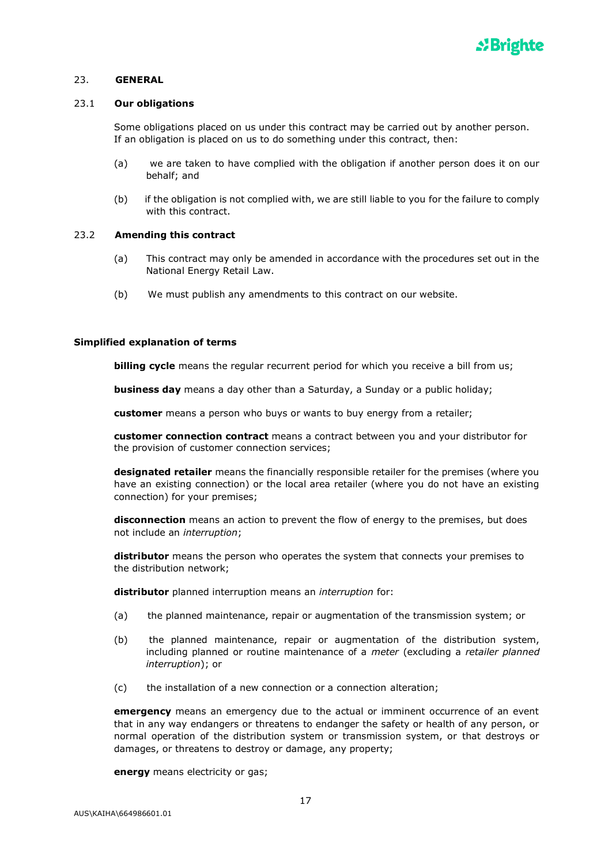

### 23. **GENERAL**

#### 23.1 **Our obligations**

Some obligations placed on us under this contract may be carried out by another person. If an obligation is placed on us to do something under this contract, then:

- (a) we are taken to have complied with the obligation if another person does it on our behalf; and
- (b) if the obligation is not complied with, we are still liable to you for the failure to comply with this contract.

### 23.2 **Amending this contract**

- (a) This contract may only be amended in accordance with the procedures set out in the National Energy Retail Law.
- (b) We must publish any amendments to this contract on our website.

### **Simplified explanation of terms**

**billing cycle** means the regular recurrent period for which you receive a bill from us;

**business day** means a day other than a Saturday, a Sunday or a public holiday;

**customer** means a person who buys or wants to buy energy from a retailer;

**customer connection contract** means a contract between you and your distributor for the provision of customer connection services;

**designated retailer** means the financially responsible retailer for the premises (where you have an existing connection) or the local area retailer (where you do not have an existing connection) for your premises;

**disconnection** means an action to prevent the flow of energy to the premises, but does not include an *interruption*;

**distributor** means the person who operates the system that connects your premises to the distribution network;

**distributor** planned interruption means an *interruption* for:

- (a) the planned maintenance, repair or augmentation of the transmission system; or
- (b) the planned maintenance, repair or augmentation of the distribution system, including planned or routine maintenance of a *meter* (excluding a *retailer planned interruption*); or
- (c) the installation of a new connection or a connection alteration;

**emergency** means an emergency due to the actual or imminent occurrence of an event that in any way endangers or threatens to endanger the safety or health of any person, or normal operation of the distribution system or transmission system, or that destroys or damages, or threatens to destroy or damage, any property;

**energy** means electricity or gas;